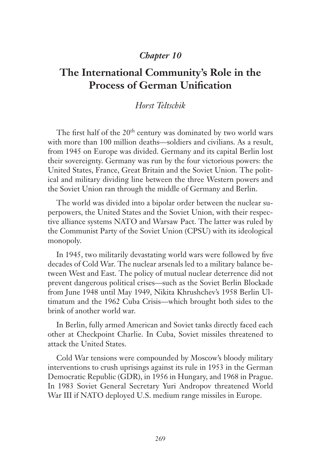## *Chapter 10*

## **The International Community's Role in the Process of German Unification**

## *Horst Teltschik*

The first half of the 20<sup>th</sup> century was dominated by two world wars with more than 100 million deaths—soldiers and civilians. As a result, from 1945 on Europe was divided. Germany and its capital Berlin lost their sovereignty. Germany was run by the four victorious powers: the United States, France, Great Britain and the Soviet Union. The political and military dividing line between the three Western powers and the Soviet Union ran through the middle of Germany and Berlin.

The world was divided into a bipolar order between the nuclear superpowers, the United States and the Soviet Union, with their respective alliance systems NATO and Warsaw Pact. The latter was ruled by the Communist Party of the Soviet Union (CPSU) with its ideological monopoly.

In 1945, two militarily devastating world wars were followed by five decades of Cold War. The nuclear arsenals led to a military balance between West and East. The policy of mutual nuclear deterrence did not prevent dangerous political crises—such as the Soviet Berlin Blockade from June 1948 until May 1949, Nikita Khrushchev's 1958 Berlin Ultimatum and the 1962 Cuba Crisis—which brought both sides to the brink of another world war.

In Berlin, fully armed American and Soviet tanks directly faced each other at Checkpoint Charlie. In Cuba, Soviet missiles threatened to attack the United States.

Cold War tensions were compounded by Moscow's bloody military interventions to crush uprisings against its rule in 1953 in the German Democratic Republic (GDR), in 1956 in Hungary, and 1968 in Prague. In 1983 Soviet General Secretary Yuri Andropov threatened World War III if NATO deployed U.S. medium range missiles in Europe.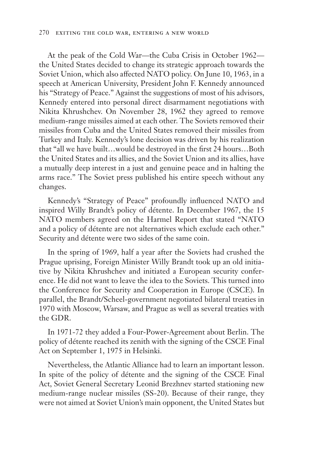At the peak of the Cold War—the Cuba Crisis in October 1962 the United States decided to change its strategic approach towards the Soviet Union, which also affected NATO policy. On June 10, 1963, in a speech at American University, President John F. Kennedy announced his "Strategy of Peace." Against the suggestions of most of his advisors, Kennedy entered into personal direct disarmament negotiations with Nikita Khrushchev. On November 28, 1962 they agreed to remove medium-range missiles aimed at each other. The Soviets removed their missiles from Cuba and the United States removed their missiles from Turkey and Italy. Kennedy's lone decision was driven by his realization that "all we have built…would be destroyed in the first 24 hours…Both the United States and its allies, and the Soviet Union and its allies, have a mutually deep interest in a just and genuine peace and in halting the arms race." The Soviet press published his entire speech without any changes.

Kennedy's "Strategy of Peace" profoundly influenced NATO and inspired Willy Brandt's policy of détente. In December 1967, the 15 NATO members agreed on the Harmel Report that stated "NATO and a policy of détente are not alternatives which exclude each other." Security and détente were two sides of the same coin.

In the spring of 1969, half a year after the Soviets had crushed the Prague uprising, Foreign Minister Willy Brandt took up an old initiative by Nikita Khrushchev and initiated a European security conference. He did not want to leave the idea to the Soviets. This turned into the Conference for Security and Cooperation in Europe (CSCE). In parallel, the Brandt/Scheel-government negotiated bilateral treaties in 1970 with Moscow, Warsaw, and Prague as well as several treaties with the GDR.

In 1971-72 they added a Four-Power-Agreement about Berlin. The policy of détente reached its zenith with the signing of the CSCE Final Act on September 1, 1975 in Helsinki.

Nevertheless, the Atlantic Alliance had to learn an important lesson. In spite of the policy of détente and the signing of the CSCE Final Act, Soviet General Secretary Leonid Brezhnev started stationing new medium-range nuclear missiles (SS-20). Because of their range, they were not aimed at Soviet Union's main opponent, the United States but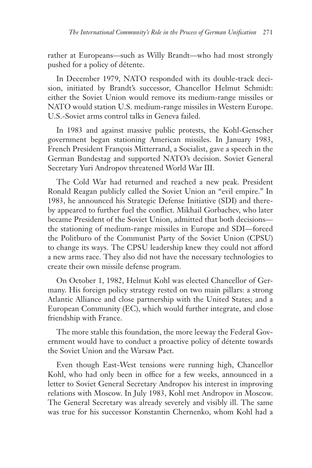rather at Europeans—such as Willy Brandt—who had most strongly pushed for a policy of détente.

In December 1979, NATO responded with its double-track decision, initiated by Brandt's successor, Chancellor Helmut Schmidt: either the Soviet Union would remove its medium-range missiles or NATO would station U.S. medium-range missiles in Western Europe. U.S.-Soviet arms control talks in Geneva failed.

In 1983 and against massive public protests, the Kohl-Genscher government began stationing American missiles. In January 1983, French President François Mitterrand, a Socialist, gave a speech in the German Bundestag and supported NATO's decision. Soviet General Secretary Yuri Andropov threatened World War III.

The Cold War had returned and reached a new peak. President Ronald Reagan publicly called the Soviet Union an "evil empire." In 1983, he announced his Strategic Defense Initiative (SDI) and thereby appeared to further fuel the conflict. Mikhail Gorbachev, who later became President of the Soviet Union, admitted that both decisions the stationing of medium-range missiles in Europe and SDI—forced the Politburo of the Communist Party of the Soviet Union (CPSU) to change its ways. The CPSU leadership knew they could not afford a new arms race. They also did not have the necessary technologies to create their own missile defense program.

On October 1, 1982, Helmut Kohl was elected Chancellor of Germany. His foreign policy strategy rested on two main pillars: a strong Atlantic Alliance and close partnership with the United States; and a European Community (EC), which would further integrate, and close friendship with France.

The more stable this foundation, the more leeway the Federal Government would have to conduct a proactive policy of détente towards the Soviet Union and the Warsaw Pact.

Even though East-West tensions were running high, Chancellor Kohl, who had only been in office for a few weeks, announced in a letter to Soviet General Secretary Andropov his interest in improving relations with Moscow. In July 1983, Kohl met Andropov in Moscow. The General Secretary was already severely and visibly ill. The same was true for his successor Konstantin Chernenko, whom Kohl had a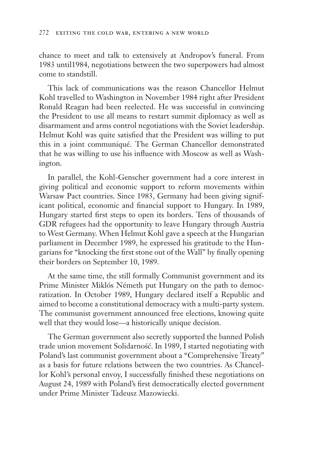chance to meet and talk to extensively at Andropov's funeral. From 1983 until1984, negotiations between the two superpowers had almost come to standstill.

This lack of communications was the reason Chancellor Helmut Kohl travelled to Washington in November 1984 right after President Ronald Reagan had been reelected. He was successful in convincing the President to use all means to restart summit diplomacy as well as disarmament and arms control negotiations with the Soviet leadership. Helmut Kohl was quite satisfied that the President was willing to put this in a joint communiqué. The German Chancellor demonstrated that he was willing to use his influence with Moscow as well as Washington.

In parallel, the Kohl-Genscher government had a core interest in giving political and economic support to reform movements within Warsaw Pact countries. Since 1983, Germany had been giving significant political, economic and financial support to Hungary. In 1989, Hungary started first steps to open its borders. Tens of thousands of GDR refugees had the opportunity to leave Hungary through Austria to West Germany. When Helmut Kohl gave a speech at the Hungarian parliament in December 1989, he expressed his gratitude to the Hungarians for "knocking the first stone out of the Wall" by finally opening their borders on September 10, 1989.

At the same time, the still formally Communist government and its Prime Minister Miklós Németh put Hungary on the path to democratization. In October 1989, Hungary declared itself a Republic and aimed to become a constitutional democracy with a multi-party system. The communist government announced free elections, knowing quite well that they would lose—a historically unique decision.

The German government also secretly supported the banned Polish trade union movement Solidarność. In 1989, I started negotiating with Poland's last communist government about a "Comprehensive Treaty" as a basis for future relations between the two countries. As Chancellor Kohl's personal envoy, I successfully finished these negotiations on August 24, 1989 with Poland's first democratically elected government under Prime Minister Tadeusz Mazowiecki.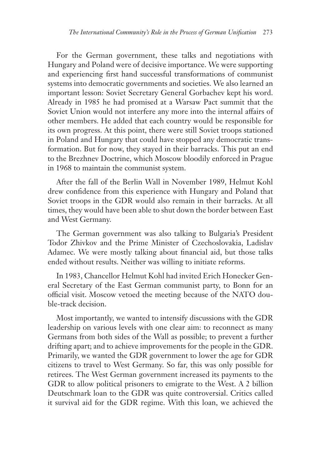For the German government, these talks and negotiations with Hungary and Poland were of decisive importance. We were supporting and experiencing first hand successful transformations of communist systems into democratic governments and societies. We also learned an important lesson: Soviet Secretary General Gorbachev kept his word. Already in 1985 he had promised at a Warsaw Pact summit that the Soviet Union would not interfere any more into the internal affairs of other members. He added that each country would be responsible for its own progress. At this point, there were still Soviet troops stationed in Poland and Hungary that could have stopped any democratic transformation. But for now, they stayed in their barracks. This put an end to the Brezhnev Doctrine, which Moscow bloodily enforced in Prague in 1968 to maintain the communist system.

After the fall of the Berlin Wall in November 1989, Helmut Kohl drew confidence from this experience with Hungary and Poland that Soviet troops in the GDR would also remain in their barracks. At all times, they would have been able to shut down the border between East and West Germany.

The German government was also talking to Bulgaria's President Todor Zhivkov and the Prime Minister of Czechoslovakia, Ladislav Adamec. We were mostly talking about financial aid, but those talks ended without results. Neither was willing to initiate reforms.

In 1983, Chancellor Helmut Kohl had invited Erich Honecker General Secretary of the East German communist party, to Bonn for an official visit. Moscow vetoed the meeting because of the NATO double-track decision.

Most importantly, we wanted to intensify discussions with the GDR leadership on various levels with one clear aim: to reconnect as many Germans from both sides of the Wall as possible; to prevent a further drifting apart; and to achieve improvements for the people in the GDR. Primarily, we wanted the GDR government to lower the age for GDR citizens to travel to West Germany. So far, this was only possible for retirees. The West German government increased its payments to the GDR to allow political prisoners to emigrate to the West. A 2 billion Deutschmark loan to the GDR was quite controversial. Critics called it survival aid for the GDR regime. With this loan, we achieved the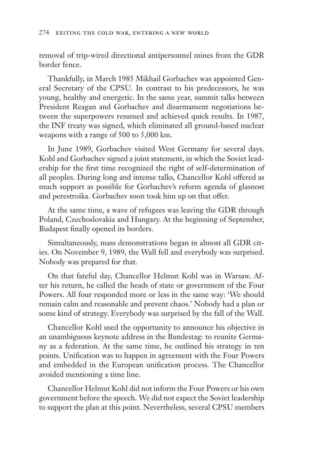removal of trip-wired directional antipersonnel mines from the GDR border fence.

Thankfully, in March 1985 Mikhail Gorbachev was appointed General Secretary of the CPSU. In contrast to his predecessors, he was young, healthy and energetic. In the same year, summit talks between President Reagan and Gorbachev and disarmament negotiations between the superpowers resumed and achieved quick results. In 1987, the INF treaty was signed, which eliminated all ground-based nuclear weapons with a range of 500 to 5,000 km.

In June 1989, Gorbachev visited West Germany for several days. Kohl and Gorbachev signed a joint statement, in which the Soviet leadership for the first time recognized the right of self-determination of all peoples. During long and intense talks, Chancellor Kohl offered as much support as possible for Gorbachev's reform agenda of glasnost and perestroika. Gorbachev soon took him up on that offer.

At the same time, a wave of refugees was leaving the GDR through Poland, Czechoslovakia and Hungary. At the beginning of September, Budapest finally opened its borders.

Simultaneously, mass demonstrations began in almost all GDR cities. On November 9, 1989, the Wall fell and everybody was surprised. Nobody was prepared for that.

On that fateful day, Chancellor Helmut Kohl was in Warsaw. After his return, he called the heads of state or government of the Four Powers. All four responded more or less in the same way: 'We should remain calm and reasonable and prevent chaos.' Nobody had a plan or some kind of strategy. Everybody was surprised by the fall of the Wall.

Chancellor Kohl used the opportunity to announce his objective in an unambiguous keynote address in the Bundestag: to reunite Germany as a federation. At the same time, he outlined his strategy in ten points. Unification was to happen in agreement with the Four Powers and embedded in the European unification process. The Chancellor avoided mentioning a time line.

Chancellor Helmut Kohl did not inform the Four Powers or his own government before the speech. We did not expect the Soviet leadership to support the plan at this point. Nevertheless, several CPSU members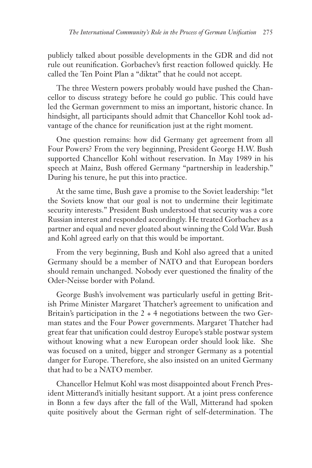publicly talked about possible developments in the GDR and did not rule out reunification. Gorbachev's first reaction followed quickly. He called the Ten Point Plan a "diktat" that he could not accept.

The three Western powers probably would have pushed the Chancellor to discuss strategy before he could go public. This could have led the German government to miss an important, historic chance. In hindsight, all participants should admit that Chancellor Kohl took advantage of the chance for reunification just at the right moment.

One question remains: how did Germany get agreement from all Four Powers? From the very beginning, President George H.W. Bush supported Chancellor Kohl without reservation. In May 1989 in his speech at Mainz, Bush offered Germany "partnership in leadership." During his tenure, he put this into practice.

At the same time, Bush gave a promise to the Soviet leadership: "let the Soviets know that our goal is not to undermine their legitimate security interests." President Bush understood that security was a core Russian interest and responded accordingly. He treated Gorbachev as a partner and equal and never gloated about winning the Cold War. Bush and Kohl agreed early on that this would be important.

From the very beginning, Bush and Kohl also agreed that a united Germany should be a member of NATO and that European borders should remain unchanged. Nobody ever questioned the finality of the Oder-Neisse border with Poland.

George Bush's involvement was particularly useful in getting British Prime Minister Margaret Thatcher's agreement to unification and Britain's participation in the  $2 + 4$  negotiations between the two German states and the Four Power governments. Margaret Thatcher had great fear that unification could destroy Europe's stable postwar system without knowing what a new European order should look like. She was focused on a united, bigger and stronger Germany as a potential danger for Europe. Therefore, she also insisted on an united Germany that had to be a NATO member.

Chancellor Helmut Kohl was most disappointed about French President Mitterand's initially hesitant support. At a joint press conference in Bonn a few days after the fall of the Wall, Mitterand had spoken quite positively about the German right of self-determination. The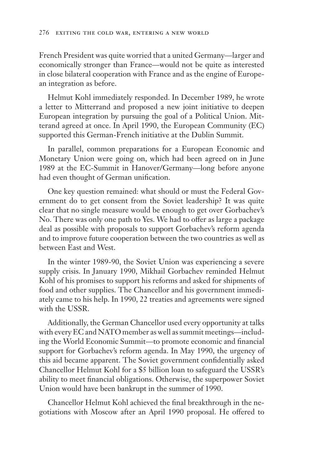French President was quite worried that a united Germany—larger and economically stronger than France—would not be quite as interested in close bilateral cooperation with France and as the engine of European integration as before.

Helmut Kohl immediately responded. In December 1989, he wrote a letter to Mitterrand and proposed a new joint initiative to deepen European integration by pursuing the goal of a Political Union. Mitterand agreed at once. In April 1990, the European Community (EC) supported this German-French initiative at the Dublin Summit.

In parallel, common preparations for a European Economic and Monetary Union were going on, which had been agreed on in June 1989 at the EC-Summit in Hanover/Germany—long before anyone had even thought of German unification.

One key question remained: what should or must the Federal Government do to get consent from the Soviet leadership? It was quite clear that no single measure would be enough to get over Gorbachev's No. There was only one path to Yes. We had to offer as large a package deal as possible with proposals to support Gorbachev's reform agenda and to improve future cooperation between the two countries as well as between East and West.

In the winter 1989-90, the Soviet Union was experiencing a severe supply crisis. In January 1990, Mikhail Gorbachev reminded Helmut Kohl of his promises to support his reforms and asked for shipments of food and other supplies. The Chancellor and his government immediately came to his help. In 1990, 22 treaties and agreements were signed with the USSR.

Additionally, the German Chancellor used every opportunity at talks with every EC and NATO member as well as summit meetings—including the World Economic Summit—to promote economic and financial support for Gorbachev's reform agenda. In May 1990, the urgency of this aid became apparent. The Soviet government confidentially asked Chancellor Helmut Kohl for a \$5 billion loan to safeguard the USSR's ability to meet financial obligations. Otherwise, the superpower Soviet Union would have been bankrupt in the summer of 1990.

Chancellor Helmut Kohl achieved the final breakthrough in the negotiations with Moscow after an April 1990 proposal. He offered to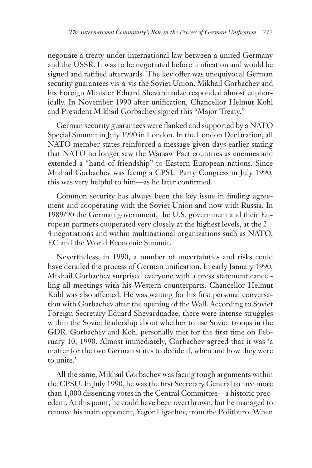negotiate a treaty under international law between a united Germany and the USSR. It was to be negotiated before unification and would be signed and ratified afterwards. The key offer was unequivocal German security guarantees vis-à-vis the Soviet Union. Mikhail Gorbachev and his Foreign Minister Eduard Shevardnadze responded almost euphorically. In November 1990 after unification, Chancellor Helmut Kohl and President Mikhail Gorbachev signed this "Major Treaty."

German security guarantees were flanked and supported by a NATO Special Summit in July 1990 in London. In the London Declaration, all NATO member states reinforced a message given days earlier stating that NATO no longer saw the Warsaw Pact countries as enemies and extended a "hand of friendship" to Eastern European nations. Since Mikhail Gorbachev was facing a CPSU Party Congress in July 1990, this was very helpful to him—as he later confirmed.

Common security has always been the key issue in finding agreement and cooperating with the Soviet Union and now with Russia. In 1989/90 the German government, the U.S. government and their European partners cooperated very closely at the highest levels, at the 2 + 4 negotiations and within multinational organizations such as NATO, EC and the World Economic Summit.

Nevertheless, in 1990, a number of uncertainties and risks could have derailed the process of German unification. In early January 1990, Mikhail Gorbachev surprised everyone with a press statement cancelling all meetings with his Western counterparts. Chancellor Helmut Kohl was also affected. He was waiting for his first personal conversation with Gorbachev after the opening of the Wall. According to Soviet Foreign Secretary Eduard Shevardnadze, there were intense struggles within the Soviet leadership about whether to use Soviet troops in the GDR. Gorbachev and Kohl personally met for the first time on February 10, 1990. Almost immediately, Gorbachev agreed that it was 'a matter for the two German states to decide if, when and how they were to unite.'

All the same, Mikhail Gorbachev was facing tough arguments within the CPSU. In July 1990, he was the first Secretary General to face more than 1,000 dissenting votes in the Central Committee—a historic precedent. At this point, he could have been overthrown, but he managed to remove his main opponent, Yegor Ligachev, from the Politburo. When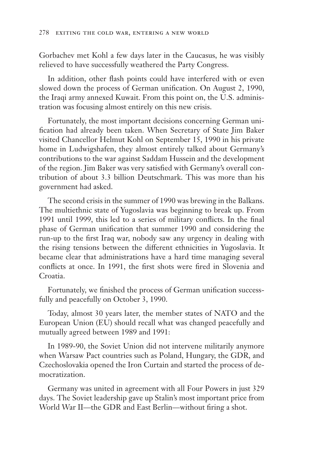Gorbachev met Kohl a few days later in the Caucasus, he was visibly relieved to have successfully weathered the Party Congress.

In addition, other flash points could have interfered with or even slowed down the process of German unification. On August 2, 1990, the Iraqi army annexed Kuwait. From this point on, the U.S. administration was focusing almost entirely on this new crisis.

Fortunately, the most important decisions concerning German unification had already been taken. When Secretary of State Jim Baker visited Chancellor Helmut Kohl on September 15, 1990 in his private home in Ludwigshafen, they almost entirely talked about Germany's contributions to the war against Saddam Hussein and the development of the region. Jim Baker was very satisfied with Germany's overall contribution of about 3.3 billion Deutschmark. This was more than his government had asked.

The second crisis in the summer of 1990 was brewing in the Balkans. The multiethnic state of Yugoslavia was beginning to break up. From 1991 until 1999, this led to a series of military conflicts. In the final phase of German unification that summer 1990 and considering the run-up to the first Iraq war, nobody saw any urgency in dealing with the rising tensions between the different ethnicities in Yugoslavia. It became clear that administrations have a hard time managing several conflicts at once. In 1991, the first shots were fired in Slovenia and Croatia.

Fortunately, we finished the process of German unification successfully and peacefully on October 3, 1990.

Today, almost 30 years later, the member states of NATO and the European Union (EU) should recall what was changed peacefully and mutually agreed between 1989 and 1991:

In 1989-90, the Soviet Union did not intervene militarily anymore when Warsaw Pact countries such as Poland, Hungary, the GDR, and Czechoslovakia opened the Iron Curtain and started the process of democratization.

Germany was united in agreement with all Four Powers in just 329 days. The Soviet leadership gave up Stalin's most important price from World War II—the GDR and East Berlin—without firing a shot.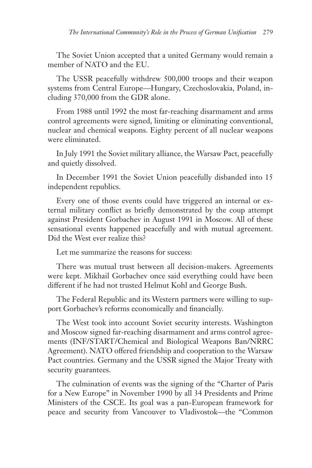The Soviet Union accepted that a united Germany would remain a member of NATO and the EU.

The USSR peacefully withdrew 500,000 troops and their weapon systems from Central Europe—Hungary, Czechoslovakia, Poland, including 370,000 from the GDR alone.

From 1988 until 1992 the most far-reaching disarmament and arms control agreements were signed, limiting or eliminating conventional, nuclear and chemical weapons. Eighty percent of all nuclear weapons were eliminated.

In July 1991 the Soviet military alliance, the Warsaw Pact, peacefully and quietly dissolved.

In December 1991 the Soviet Union peacefully disbanded into 15 independent republics.

Every one of those events could have triggered an internal or external military conflict as briefly demonstrated by the coup attempt against President Gorbachev in August 1991 in Moscow. All of these sensational events happened peacefully and with mutual agreement. Did the West ever realize this?

Let me summarize the reasons for success:

There was mutual trust between all decision-makers. Agreements were kept. Mikhail Gorbachev once said everything could have been different if he had not trusted Helmut Kohl and George Bush.

The Federal Republic and its Western partners were willing to support Gorbachev's reforms economically and financially.

The West took into account Soviet security interests. Washington and Moscow signed far-reaching disarmament and arms control agreements (INF/START/Chemical and Biological Weapons Ban/NRRC Agreement). NATO offered friendship and cooperation to the Warsaw Pact countries. Germany and the USSR signed the Major Treaty with security guarantees.

The culmination of events was the signing of the "Charter of Paris for a New Europe" in November 1990 by all 34 Presidents and Prime Ministers of the CSCE. Its goal was a pan-European framework for peace and security from Vancouver to Vladivostok—the "Common